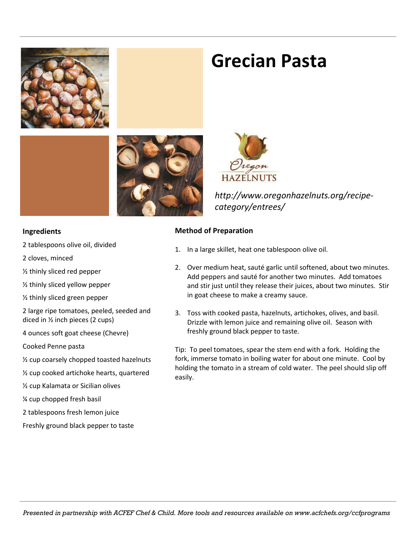

### **Grecian Pasta**



*http://www.oregonhazelnuts.org/recipecategory/entrees/*

#### **Ingredients**

- 2 tablespoons olive oil, divided
- 2 cloves, minced

½ thinly sliced red pepper

- ½ thinly sliced yellow pepper
- ½ thinly sliced green pepper

2 large ripe tomatoes, peeled, seeded and diced in ½ inch pieces (2 cups)

4 ounces soft goat cheese (Chevre)

Cooked Penne pasta

- ½ cup coarsely chopped toasted hazelnuts
- ½ cup cooked artichoke hearts, quartered
- ½ cup Kalamata or Sicilian olives

¼ cup chopped fresh basil

2 tablespoons fresh lemon juice

Freshly ground black pepper to taste

#### **Method of Preparation**

- 1. In a large skillet, heat one tablespoon olive oil.
- 2. Over medium heat, sauté garlic until softened, about two minutes. Add peppers and sauté for another two minutes. Add tomatoes and stir just until they release their juices, about two minutes. Stir in goat cheese to make a creamy sauce.
- 3. Toss with cooked pasta, hazelnuts, artichokes, olives, and basil. Drizzle with lemon juice and remaining olive oil. Season with freshly ground black pepper to taste.

Tip: To peel tomatoes, spear the stem end with a fork. Holding the fork, immerse tomato in boiling water for about one minute. Cool by holding the tomato in a stream of cold water. The peel should slip off easily.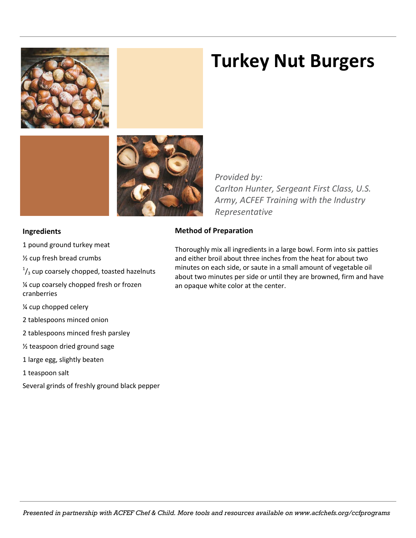

## **Turkey Nut Burgers**



*Provided by: Carlton Hunter, Sergeant First Class, U.S. Army, ACFEF Training with the Industry Representative*

#### **Ingredients**

- 1 pound ground turkey meat
- ½ cup fresh bread crumbs
- $\frac{1}{3}$  cup coarsely chopped, toasted hazelnuts
- ¼ cup coarsely chopped fresh or frozen cranberries
- ¼ cup chopped celery
- 2 tablespoons minced onion
- 2 tablespoons minced fresh parsley
- ½ teaspoon dried ground sage
- 1 large egg, slightly beaten
- 1 teaspoon salt
- Several grinds of freshly ground black pepper

### **Method of Preparation**

Thoroughly mix all ingredients in a large bowl. Form into six patties and either broil about three inches from the heat for about two minutes on each side, or saute in a small amount of vegetable oil about two minutes per side or until they are browned, firm and have an opaque white color at the center.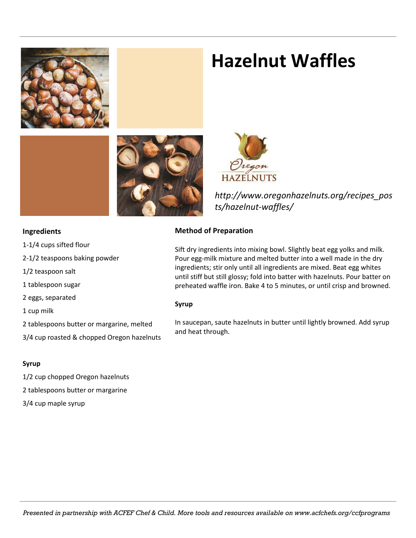

### **Hazelnut Waffles**



*http://www.oregonhazelnuts.org/recipes\_pos ts/hazelnut-waffles/*

#### **Ingredients**

- 1-1/4 cups sifted flour
- 2-1/2 teaspoons baking powder
- 1/2 teaspoon salt
- 1 tablespoon sugar
- 2 eggs, separated
- 1 cup milk
- 2 tablespoons butter or margarine, melted
- 3/4 cup roasted & chopped Oregon hazelnuts

#### **Syrup**

- 1/2 cup chopped Oregon hazelnuts
- 2 tablespoons butter or margarine
- 3/4 cup maple syrup

#### **Method of Preparation**

Sift dry ingredients into mixing bowl. Slightly beat egg yolks and milk. Pour egg-milk mixture and melted butter into a well made in the dry ingredients; stir only until all ingredients are mixed. Beat egg whites until stiff but still glossy; fold into batter with hazelnuts. Pour batter on preheated waffle iron. Bake 4 to 5 minutes, or until crisp and browned.

#### **Syrup**

In saucepan, saute hazelnuts in butter until lightly browned. Add syrup and heat through.